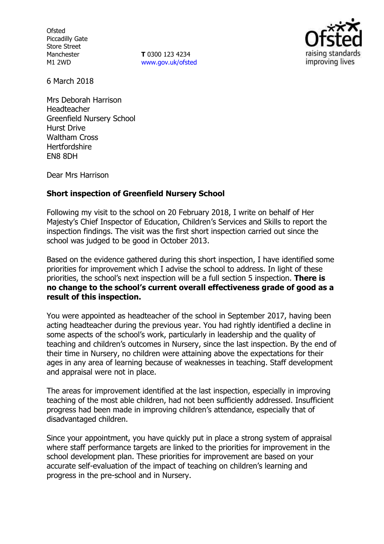**Ofsted** Piccadilly Gate Store Street Manchester M1 2WD

**T** 0300 123 4234 [www.gov.uk/ofsted](http://www.gov.uk/ofsted)



6 March 2018

Mrs Deborah Harrison Headteacher Greenfield Nursery School Hurst Drive Waltham Cross **Hertfordshire** EN8 8DH

Dear Mrs Harrison

# **Short inspection of Greenfield Nursery School**

Following my visit to the school on 20 February 2018, I write on behalf of Her Majesty's Chief Inspector of Education, Children's Services and Skills to report the inspection findings. The visit was the first short inspection carried out since the school was judged to be good in October 2013.

Based on the evidence gathered during this short inspection, I have identified some priorities for improvement which I advise the school to address. In light of these priorities, the school's next inspection will be a full section 5 inspection. **There is no change to the school's current overall effectiveness grade of good as a result of this inspection.**

You were appointed as headteacher of the school in September 2017, having been acting headteacher during the previous year. You had rightly identified a decline in some aspects of the school's work, particularly in leadership and the quality of teaching and children's outcomes in Nursery, since the last inspection. By the end of their time in Nursery, no children were attaining above the expectations for their ages in any area of learning because of weaknesses in teaching. Staff development and appraisal were not in place.

The areas for improvement identified at the last inspection, especially in improving teaching of the most able children, had not been sufficiently addressed. Insufficient progress had been made in improving children's attendance, especially that of disadvantaged children.

Since your appointment, you have quickly put in place a strong system of appraisal where staff performance targets are linked to the priorities for improvement in the school development plan. These priorities for improvement are based on your accurate self-evaluation of the impact of teaching on children's learning and progress in the pre-school and in Nursery.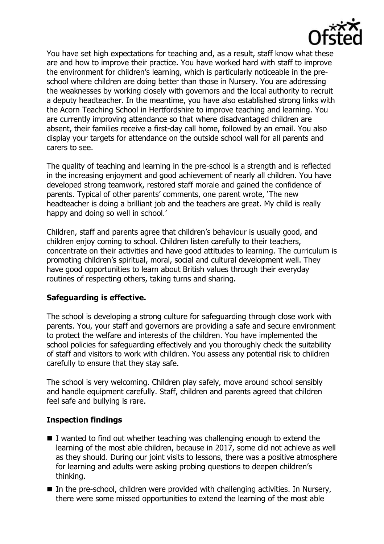

You have set high expectations for teaching and, as a result, staff know what these are and how to improve their practice. You have worked hard with staff to improve the environment for children's learning, which is particularly noticeable in the preschool where children are doing better than those in Nursery. You are addressing the weaknesses by working closely with governors and the local authority to recruit a deputy headteacher. In the meantime, you have also established strong links with the Acorn Teaching School in Hertfordshire to improve teaching and learning. You are currently improving attendance so that where disadvantaged children are absent, their families receive a first-day call home, followed by an email. You also display your targets for attendance on the outside school wall for all parents and carers to see.

The quality of teaching and learning in the pre-school is a strength and is reflected in the increasing enjoyment and good achievement of nearly all children. You have developed strong teamwork, restored staff morale and gained the confidence of parents. Typical of other parents' comments, one parent wrote, 'The new headteacher is doing a brilliant job and the teachers are great. My child is really happy and doing so well in school.'

Children, staff and parents agree that children's behaviour is usually good, and children enjoy coming to school. Children listen carefully to their teachers, concentrate on their activities and have good attitudes to learning. The curriculum is promoting children's spiritual, moral, social and cultural development well. They have good opportunities to learn about British values through their everyday routines of respecting others, taking turns and sharing.

# **Safeguarding is effective.**

The school is developing a strong culture for safeguarding through close work with parents. You, your staff and governors are providing a safe and secure environment to protect the welfare and interests of the children. You have implemented the school policies for safeguarding effectively and you thoroughly check the suitability of staff and visitors to work with children. You assess any potential risk to children carefully to ensure that they stay safe.

The school is very welcoming. Children play safely, move around school sensibly and handle equipment carefully. Staff, children and parents agreed that children feel safe and bullying is rare.

# **Inspection findings**

- I wanted to find out whether teaching was challenging enough to extend the learning of the most able children, because in 2017, some did not achieve as well as they should. During our joint visits to lessons, there was a positive atmosphere for learning and adults were asking probing questions to deepen children's thinking.
- $\blacksquare$  In the pre-school, children were provided with challenging activities. In Nursery, there were some missed opportunities to extend the learning of the most able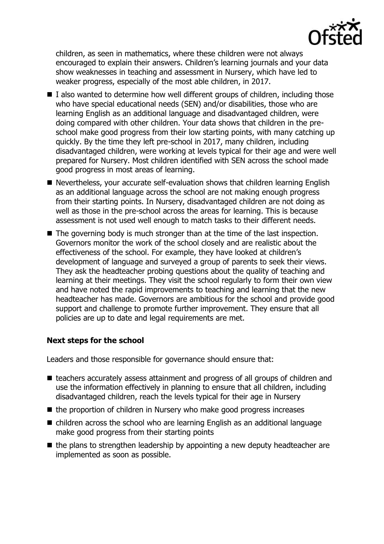

children, as seen in mathematics, where these children were not always encouraged to explain their answers. Children's learning journals and your data show weaknesses in teaching and assessment in Nursery, which have led to weaker progress, especially of the most able children, in 2017.

- $\blacksquare$  I also wanted to determine how well different groups of children, including those who have special educational needs (SEN) and/or disabilities, those who are learning English as an additional language and disadvantaged children, were doing compared with other children. Your data shows that children in the preschool make good progress from their low starting points, with many catching up quickly. By the time they left pre-school in 2017, many children, including disadvantaged children, were working at levels typical for their age and were well prepared for Nursery. Most children identified with SEN across the school made good progress in most areas of learning.
- Nevertheless, your accurate self-evaluation shows that children learning English as an additional language across the school are not making enough progress from their starting points. In Nursery, disadvantaged children are not doing as well as those in the pre-school across the areas for learning. This is because assessment is not used well enough to match tasks to their different needs.
- The governing body is much stronger than at the time of the last inspection. Governors monitor the work of the school closely and are realistic about the effectiveness of the school. For example, they have looked at children's development of language and surveyed a group of parents to seek their views. They ask the headteacher probing questions about the quality of teaching and learning at their meetings. They visit the school regularly to form their own view and have noted the rapid improvements to teaching and learning that the new headteacher has made. Governors are ambitious for the school and provide good support and challenge to promote further improvement. They ensure that all policies are up to date and legal requirements are met.

# **Next steps for the school**

Leaders and those responsible for governance should ensure that:

- teachers accurately assess attainment and progress of all groups of children and use the information effectively in planning to ensure that all children, including disadvantaged children, reach the levels typical for their age in Nursery
- $\blacksquare$  the proportion of children in Nursery who make good progress increases
- children across the school who are learning English as an additional language make good progress from their starting points
- $\blacksquare$  the plans to strengthen leadership by appointing a new deputy headteacher are implemented as soon as possible.